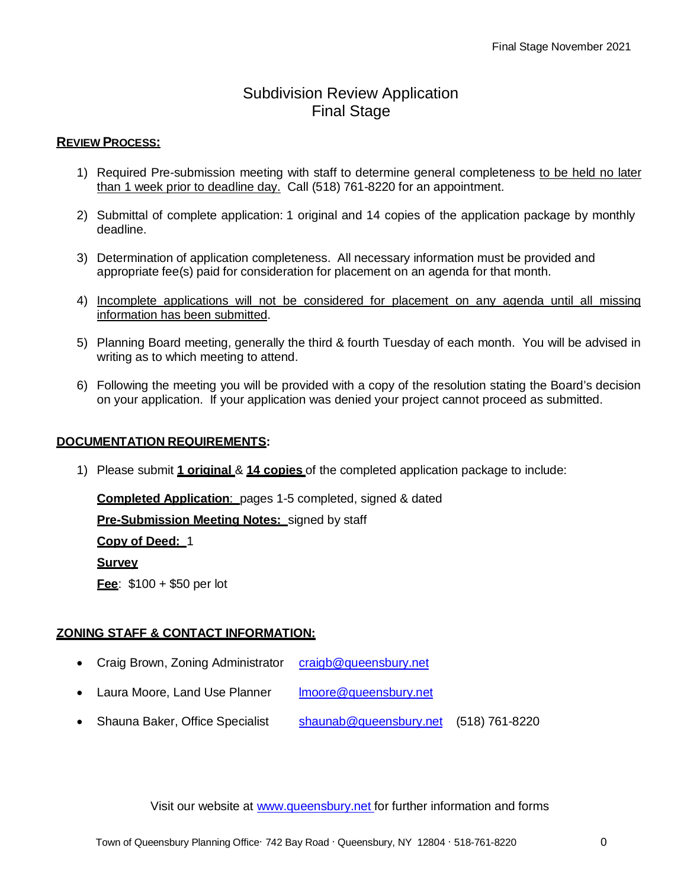# Subdivision Review Application Final Stage

### **REVIEW PROCESS:**

- 1) Required Pre-submission meeting with staff to determine general completeness to be held no later than 1 week prior to deadline day. Call (518) 761-8220 for an appointment.
- 2) Submittal of complete application: 1 original and 14 copies of the application package by monthly deadline.
- 3) Determination of application completeness. All necessary information must be provided and appropriate fee(s) paid for consideration for placement on an agenda for that month.
- 4) Incomplete applications will not be considered for placement on any agenda until all missing information has been submitted.
- 5) Planning Board meeting, generally the third & fourth Tuesday of each month. You will be advised in writing as to which meeting to attend.
- 6) Following the meeting you will be provided with a copy of the resolution stating the Board's decision on your application. If your application was denied your project cannot proceed as submitted.

#### **DOCUMENTATION REQUIREMENTS:**

1) Please submit **1 original** & **14 copies** of the completed application package to include:

**Completed Application**: pages 1-5 completed, signed & dated

**Pre-Submission Meeting Notes:** signed by staff

**Copy of Deed:** 1

**Survey**

**Fee**: \$100 + \$50 per lot

### **ZONING STAFF & CONTACT INFORMATION:**

- Craig Brown, Zoning Administrator [craigb@queensbury.net](mailto:craigb@queensbury.net)
- Laura Moore, Land Use Planner [lmoore@queensbury.net](mailto:lmoore@queensbury.net)
- Shauna Baker, Office Specialist [shaunab@queensbury.net](mailto:shaunab@queensbury.net) (518) 761-8220

Visit our website at [www.queensbury.net](http://www.queensbury.net/) for further information and forms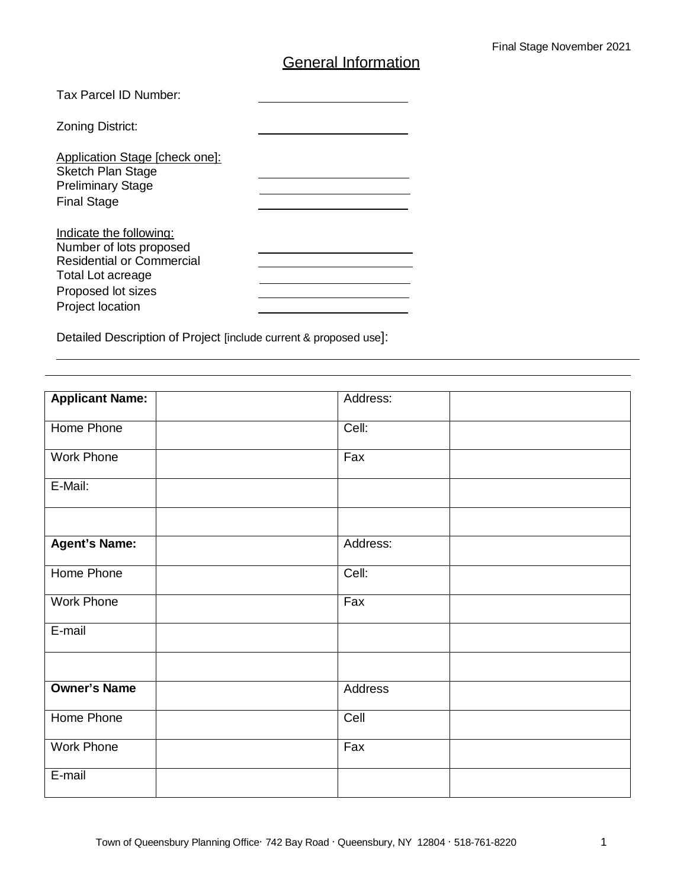# **General Information**

| Tax Parcel ID Number:                                                                                                                                        |  |
|--------------------------------------------------------------------------------------------------------------------------------------------------------------|--|
| <b>Zoning District:</b>                                                                                                                                      |  |
| Application Stage [check one]:<br><b>Sketch Plan Stage</b><br><b>Preliminary Stage</b><br><b>Final Stage</b>                                                 |  |
| Indicate the following:<br>Number of lots proposed<br><b>Residential or Commercial</b><br>Total Lot acreage<br>Proposed lot sizes<br><b>Project location</b> |  |

Detailed Description of Project [include current & proposed use]:

| <b>Applicant Name:</b> | Address:         |
|------------------------|------------------|
|                        |                  |
| Home Phone             | Cell:            |
|                        |                  |
| Work Phone             | Fax              |
| E-Mail:                |                  |
|                        |                  |
|                        |                  |
|                        |                  |
| <b>Agent's Name:</b>   | Address:         |
|                        |                  |
| Home Phone             | Cell:            |
| Work Phone             | Fax              |
|                        |                  |
| E-mail                 |                  |
|                        |                  |
|                        |                  |
| <b>Owner's Name</b>    | Address          |
|                        |                  |
| Home Phone             | Cell             |
|                        |                  |
| Work Phone             | $\overline{F}ax$ |
| E-mail                 |                  |
|                        |                  |
|                        |                  |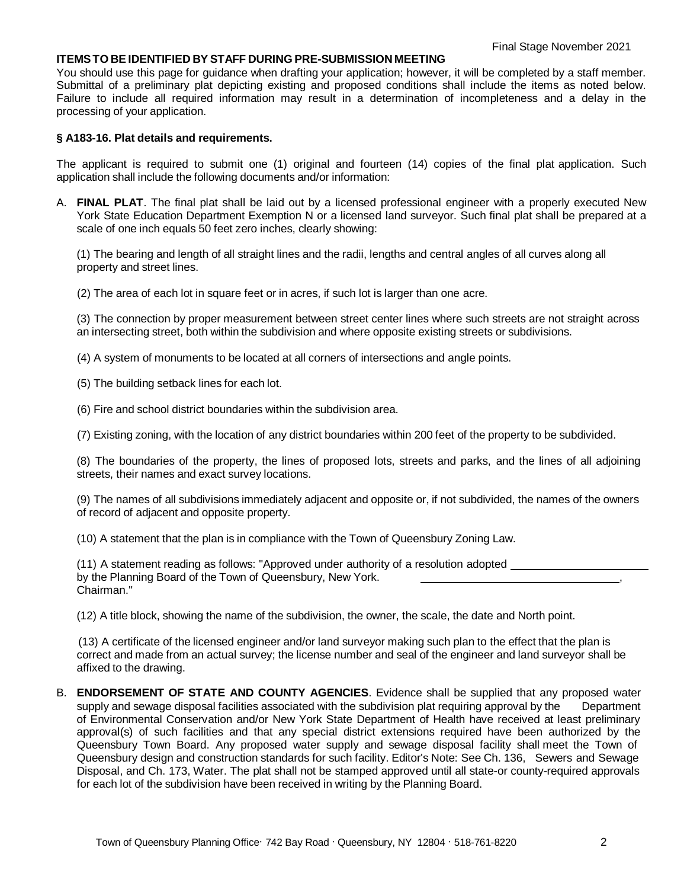#### **ITEMSTO BEIDENTIFIED BY STAFF DURING PRE-SUBMISSION MEETING**

You should use this page for guidance when drafting your application; however, it will be completed by a staff member. Submittal of a preliminary plat depicting existing and proposed conditions shall include the items as noted below. Failure to include all required information may result in a determination of incompleteness and a delay in the processing of your application.

#### **§ A183-16. Plat details and requirements.**

The applicant is required to submit one (1) original and fourteen (14) copies of the final plat application. Such application shall include the following documents and/or information:

A. **FINAL PLAT**. The final plat shall be laid out by a licensed professional engineer with a properly executed New York State Education Department Exemption N or a licensed land surveyor. Such final plat shall be prepared at a scale of one inch equals 50 feet zero inches, clearly showing:

(1) The bearing and length of all straight lines and the radii, lengths and central angles of all curves along all property and street lines.

(2) The area of each lot in square feet or in acres, if such lot is larger than one acre.

(3) The connection by proper measurement between street center lines where such streets are not straight across an intersecting street, both within the subdivision and where opposite existing streets or subdivisions.

(4) A system of monuments to be located at all corners of intersections and angle points.

(5) The building setback lines for each lot.

(6) Fire and school district boundaries within the subdivision area.

(7) Existing zoning, with the location of any district boundaries within 200 feet of the property to be subdivided.

(8) The boundaries of the property, the lines of proposed lots, streets and parks, and the lines of all adjoining streets, their names and exact survey locations.

(9) The names of all subdivisions immediately adjacent and opposite or, if not subdivided, the names of the owners of record of adjacent and opposite property.

(10) A statement that the plan is in compliance with the Town of Queensbury Zoning Law.

| (11) A statement reading as follows: "Approved under authority of a resolution adopted |  |
|----------------------------------------------------------------------------------------|--|
| by the Planning Board of the Town of Queensbury, New York.                             |  |
| Chairman."                                                                             |  |

(12) A title block, showing the name of the subdivision, the owner, the scale, the date and North point.

(13) A certificate of the licensed engineer and/or land surveyor making such plan to the effect that the plan is correct and made from an actual survey; the license number and seal of the engineer and land surveyor shall be affixed to the drawing.

B. **ENDORSEMENT OF STATE AND COUNTY AGENCIES**. Evidence shall be supplied that any proposed water supply and sewage disposal facilities associated with the subdivision plat requiring approval by the Department of Environmental Conservation and/or New York State Department of Health have received at least preliminary approval(s) of such facilities and that any special district extensions required have been authorized by the Queensbury Town Board. Any proposed water supply and sewage disposal facility shall meet the Town of Queensbury design and construction standards for such facility. Editor's Note: See Ch. 136, Sewers and Sewage Disposal, and Ch. 173, Water. The plat shall not be stamped approved until all state-or county-required approvals for each lot of the subdivision have been received in writing by the Planning Board.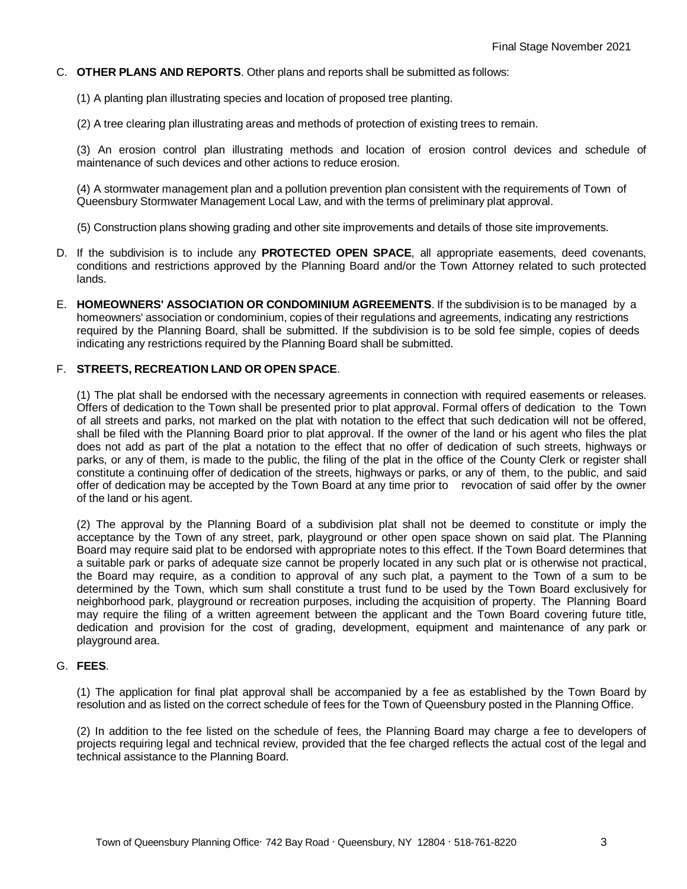- C. **OTHER PLANS AND REPORTS**. Other plans and reports shall be submitted as follows:
	- (1) A planting plan illustrating species and location of proposed tree planting.

(2) A tree clearing plan illustrating areas and methods of protection of existing trees to remain.

(3) An erosion control plan illustrating methods and location of erosion control devices and schedule of maintenance of such devices and other actions to reduce erosion.

(4) A stormwater management plan and a pollution prevention plan consistent with the requirements of Town of Queensbury Stormwater Management Local Law, and with the terms of preliminary plat approval.

(5) Construction plans showing grading and other site improvements and details of those site improvements.

- D. If the subdivision is to include any **PROTECTED OPEN SPACE**, all appropriate easements, deed covenants, conditions and restrictions approved by the Planning Board and/or the Town Attorney related to such protected lands.
- E. **HOMEOWNERS' ASSOCIATION OR CONDOMINIUM AGREEMENTS**. If the subdivision is to be managed by a homeowners' association or condominium, copies of their regulations and agreements, indicating any restrictions required by the Planning Board, shall be submitted. If the subdivision is to be sold fee simple, copies of deeds indicating any restrictions required by the Planning Board shall be submitted.

#### F. **STREETS, RECREATION LAND OR OPEN SPACE**.

(1) The plat shall be endorsed with the necessary agreements in connection with required easements or releases. Offers of dedication to the Town shall be presented prior to plat approval. Formal offers of dedication to the Town of all streets and parks, not marked on the plat with notation to the effect that such dedication will not be offered, shall be filed with the Planning Board prior to plat approval. If the owner of the land or his agent who files the plat does not add as part of the plat a notation to the effect that no offer of dedication of such streets, highways or parks, or any of them, is made to the public, the filing of the plat in the office of the County Clerk or register shall constitute a continuing offer of dedication of the streets, highways or parks, or any of them, to the public, and said offer of dedication may be accepted by the Town Board at any time prior to revocation of said offer by the owner of the land or his agent.

(2) The approval by the Planning Board of a subdivision plat shall not be deemed to constitute or imply the acceptance by the Town of any street, park, playground or other open space shown on said plat. The Planning Board may require said plat to be endorsed with appropriate notes to this effect. If the Town Board determines that a suitable park or parks of adequate size cannot be properly located in any such plat or is otherwise not practical, the Board may require, as a condition to approval of any such plat, a payment to the Town of a sum to be determined by the Town, which sum shall constitute a trust fund to be used by the Town Board exclusively for neighborhood park, playground or recreation purposes, including the acquisition of property. The Planning Board may require the filing of a written agreement between the applicant and the Town Board covering future title, dedication and provision for the cost of grading, development, equipment and maintenance of any park or playground area.

#### G. **FEES**.

(1) The application for final plat approval shall be accompanied by a fee as established by the Town Board by resolution and as listed on the correct schedule of fees for the Town of Queensbury posted in the Planning Office.

(2) In addition to the fee listed on the schedule of fees, the Planning Board may charge a fee to developers of projects requiring legal and technical review, provided that the fee charged reflects the actual cost of the legal and technical assistance to the Planning Board.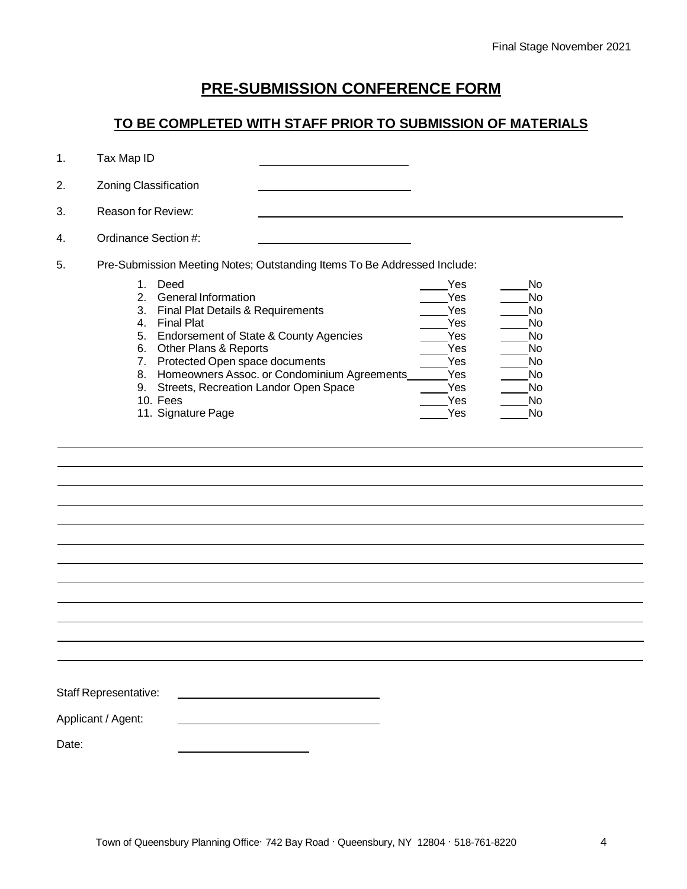## **PRE-SUBMISSION CONFERENCE FORM**

### **TO BE COMPLETED WITH STAFF PRIOR TO SUBMISSION OF MATERIALS**

|  | Tax Map ID |  |
|--|------------|--|
|  |            |  |

| 2. | Zoning Classification                                                                                                                                                                                                                                                                                                                                                                 |                                                                           |                                                                 |  |
|----|---------------------------------------------------------------------------------------------------------------------------------------------------------------------------------------------------------------------------------------------------------------------------------------------------------------------------------------------------------------------------------------|---------------------------------------------------------------------------|-----------------------------------------------------------------|--|
| 3. | Reason for Review:                                                                                                                                                                                                                                                                                                                                                                    |                                                                           |                                                                 |  |
| 4. | Ordinance Section #:                                                                                                                                                                                                                                                                                                                                                                  |                                                                           |                                                                 |  |
| 5. | Pre-Submission Meeting Notes; Outstanding Items To Be Addressed Include:                                                                                                                                                                                                                                                                                                              |                                                                           |                                                                 |  |
|    | Deed<br>1.<br>General Information<br>$\mathcal{P}$<br>Final Plat Details & Requirements<br>3.<br><b>Final Plat</b><br>4.<br>Endorsement of State & County Agencies<br>5.<br>Other Plans & Reports<br>6.<br>Protected Open space documents<br>7.<br>Homeowners Assoc. or Condominium Agreements<br>8.<br>Streets, Recreation Landor Open Space<br>9.<br>10. Fees<br>11. Signature Page | Yes<br>Yes<br>Yes<br>Yes<br>Yes<br>Yes<br>Yes<br>Yes<br>Yes<br>Yes<br>Yes | No.<br>No<br>No<br>No<br>No<br>No<br>No<br>No<br>No<br>No<br>No |  |

| Staff Representative: |  |
|-----------------------|--|
|                       |  |

Applicant / Agent:

Date: